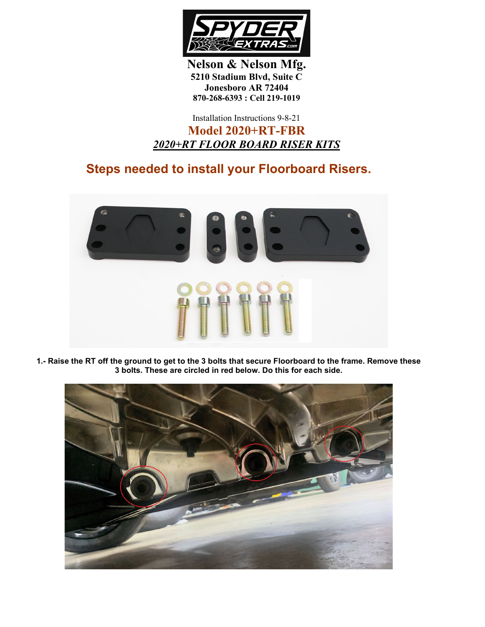

**Nelson & Nelson Mfg. 5210 Stadium Blvd, Suite C Jonesboro AR 72404 870-268-6393 : Cell 219-1019**

## Installation Instructions 9-8-21 **Model 2020+RT-FBR** *2020+RT FLOOR BOARD RISER KITS*

## **Steps needed to install your Floorboard Risers.**



**1.- Raise the RT off the ground to get to the 3 bolts that secure Floorboard to the frame. Remove these 3 bolts. These are circled in red below. Do this for each side.**